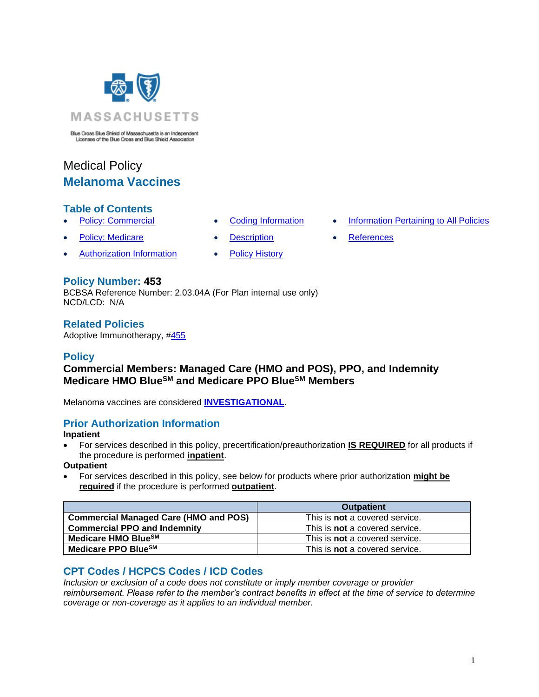

Blue Cross Blue Shield of Massachusetts is an Independent<br>Licensee of the Blue Cross and Blue Shield Association

# Medical Policy **Melanoma Vaccines**

# **Table of Contents**

- 
- **Policy: Medicare [Description](#page-1-1) [References](#page-2-0)**
- **[Authorization Information](#page-0-1) [Policy History](#page-1-2)**
- 
- Policy: Commercial [Coding Information](#page-0-0) [Information Pertaining to All Policies](#page-1-0)
	-

# **Policy Number: 453**

BCBSA Reference Number: 2.03.04A (For Plan internal use only) NCD/LCD: N/A

# **Related Policies**

Adoptive Immunotherapy, [#455](http://www.bluecrossma.org/medical-policies/sites/g/files/csphws2091/files/acquiadam-assets/455%20Adoptive%20Immunotherapy%20prn.pdf#page=1)

### **Policy**

# **Commercial Members: Managed Care (HMO and POS), PPO, and Indemnity Medicare HMO BlueSM and Medicare PPO BlueSM Members**

Melanoma vaccines are considered **[INVESTIGATIONAL](https://www.bluecrossma.org/medical-policies/sites/g/files/csphws2091/files/acquiadam-assets/Definition%20of%20Med%20Nec%20Inv%20Not%20Med%20Nec%20prn.pdf#page=1)**.

# <span id="page-0-1"></span>**Prior Authorization Information**

#### **Inpatient**

• For services described in this policy, precertification/preauthorization **IS REQUIRED** for all products if the procedure is performed **inpatient**.

#### **Outpatient**

• For services described in this policy, see below for products where prior authorization **might be required** if the procedure is performed **outpatient**.

|                                              | <b>Outpatient</b>                     |
|----------------------------------------------|---------------------------------------|
| <b>Commercial Managed Care (HMO and POS)</b> | This is <b>not</b> a covered service. |
| <b>Commercial PPO and Indemnity</b>          | This is <b>not</b> a covered service. |
| Medicare HMO Blue <sup>SM</sup>              | This is <b>not</b> a covered service. |
| Medicare PPO BlueSM                          | This is <b>not</b> a covered service. |

# <span id="page-0-0"></span>**CPT Codes / HCPCS Codes / ICD Codes**

*Inclusion or exclusion of a code does not constitute or imply member coverage or provider reimbursement. Please refer to the member's contract benefits in effect at the time of service to determine coverage or non-coverage as it applies to an individual member.*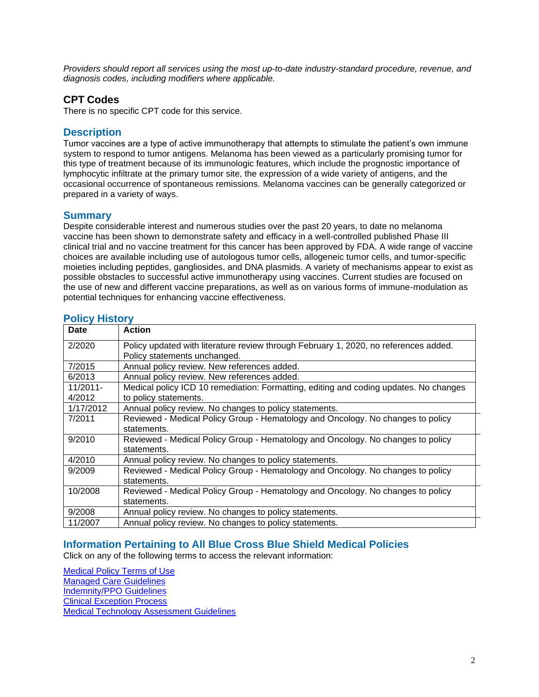*Providers should report all services using the most up-to-date industry-standard procedure, revenue, and diagnosis codes, including modifiers where applicable.*

### **CPT Codes**

There is no specific CPT code for this service.

# <span id="page-1-1"></span>**Description**

Tumor vaccines are a type of active immunotherapy that attempts to stimulate the patient's own immune system to respond to tumor antigens. Melanoma has been viewed as a particularly promising tumor for this type of treatment because of its immunologic features, which include the prognostic importance of lymphocytic infiltrate at the primary tumor site, the expression of a wide variety of antigens, and the occasional occurrence of spontaneous remissions. Melanoma vaccines can be generally categorized or prepared in a variety of ways.

### **Summary**

Despite considerable interest and numerous studies over the past 20 years, to date no melanoma vaccine has been shown to demonstrate safety and efficacy in a well-controlled published Phase III clinical trial and no vaccine treatment for this cancer has been approved by FDA. A wide range of vaccine choices are available including use of autologous tumor cells, allogeneic tumor cells, and tumor-specific moieties including peptides, gangliosides, and DNA plasmids. A variety of mechanisms appear to exist as possible obstacles to successful active immunotherapy using vaccines. Current studies are focused on the use of new and different vaccine preparations, as well as on various forms of immune-modulation as potential techniques for enhancing vaccine effectiveness.

| <b>Date</b> | <b>Action</b>                                                                                                        |
|-------------|----------------------------------------------------------------------------------------------------------------------|
| 2/2020      | Policy updated with literature review through February 1, 2020, no references added.<br>Policy statements unchanged. |
| 7/2015      | Annual policy review. New references added.                                                                          |
| 6/2013      | Annual policy review. New references added.                                                                          |
| $11/2011 -$ | Medical policy ICD 10 remediation: Formatting, editing and coding updates. No changes                                |
| 4/2012      | to policy statements.                                                                                                |
| 1/17/2012   | Annual policy review. No changes to policy statements.                                                               |
| 7/2011      | Reviewed - Medical Policy Group - Hematology and Oncology. No changes to policy                                      |
|             | statements.                                                                                                          |
| 9/2010      | Reviewed - Medical Policy Group - Hematology and Oncology. No changes to policy<br>statements.                       |
| 4/2010      | Annual policy review. No changes to policy statements.                                                               |
| 9/2009      | Reviewed - Medical Policy Group - Hematology and Oncology. No changes to policy                                      |
|             | statements.                                                                                                          |
| 10/2008     | Reviewed - Medical Policy Group - Hematology and Oncology. No changes to policy                                      |
|             | statements.                                                                                                          |
| 9/2008      | Annual policy review. No changes to policy statements.                                                               |
| 11/2007     | Annual policy review. No changes to policy statements.                                                               |

### <span id="page-1-2"></span>**Policy History**

# <span id="page-1-0"></span>**Information Pertaining to All Blue Cross Blue Shield Medical Policies**

Click on any of the following terms to access the relevant information:

[Medical Policy Terms of Use](http://www.bluecrossma.org/medical-policies/sites/g/files/csphws2091/files/acquiadam-assets/Medical_Policy_Terms_of_Use_prn.pdf) [Managed Care Guidelines](http://www.bluecrossma.org/medical-policies/sites/g/files/csphws2091/files/acquiadam-assets/Managed_Care_Guidelines_prn.pdf) [Indemnity/PPO Guidelines](http://www.bluecrossma.org/medical-policies/sites/g/files/csphws2091/files/acquiadam-assets/Indemnity_and_PPO_Guidelines_prn.pdf) [Clinical Exception Process](http://www.bluecrossma.org/medical-policies/sites/g/files/csphws2091/files/acquiadam-assets/Clinical_Exception_Process_prn.pdf) [Medical Technology Assessment Guidelines](http://www.bluecrossma.org/medical-policies/sites/g/files/csphws2091/files/acquiadam-assets/Medical_Technology_Assessment_Guidelines_prn.pdf)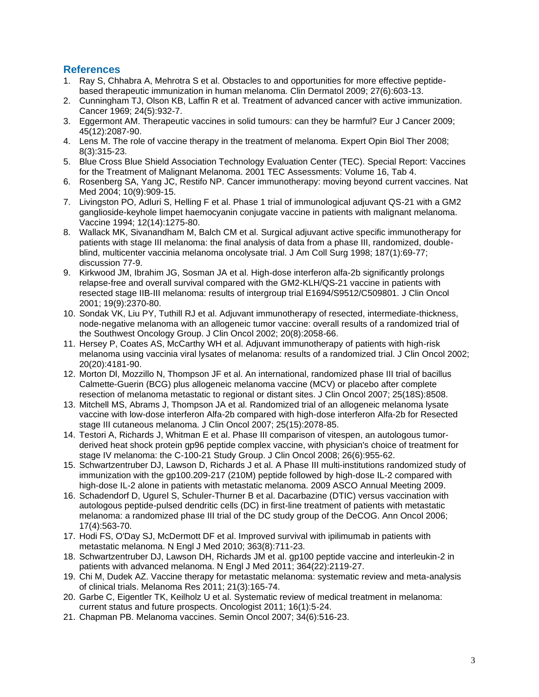# <span id="page-2-0"></span>**References**

- 1. Ray S, Chhabra A, Mehrotra S et al. Obstacles to and opportunities for more effective peptidebased therapeutic immunization in human melanoma. Clin Dermatol 2009; 27(6):603-13.
- 2. Cunningham TJ, Olson KB, Laffin R et al. Treatment of advanced cancer with active immunization. Cancer 1969; 24(5):932-7.
- 3. Eggermont AM. Therapeutic vaccines in solid tumours: can they be harmful? Eur J Cancer 2009; 45(12):2087-90.
- 4. Lens M. The role of vaccine therapy in the treatment of melanoma. Expert Opin Biol Ther 2008; 8(3):315-23.
- 5. Blue Cross Blue Shield Association Technology Evaluation Center (TEC). Special Report: Vaccines for the Treatment of Malignant Melanoma. 2001 TEC Assessments: Volume 16, Tab 4.
- 6. Rosenberg SA, Yang JC, Restifo NP. Cancer immunotherapy: moving beyond current vaccines. Nat Med 2004; 10(9):909-15.
- 7. Livingston PO, Adluri S, Helling F et al. Phase 1 trial of immunological adjuvant QS-21 with a GM2 ganglioside-keyhole limpet haemocyanin conjugate vaccine in patients with malignant melanoma. Vaccine 1994; 12(14):1275-80.
- 8. Wallack MK, Sivanandham M, Balch CM et al. Surgical adjuvant active specific immunotherapy for patients with stage III melanoma: the final analysis of data from a phase III, randomized, doubleblind, multicenter vaccinia melanoma oncolysate trial. J Am Coll Surg 1998; 187(1):69-77; discussion 77-9.
- 9. Kirkwood JM, Ibrahim JG, Sosman JA et al. High-dose interferon alfa-2b significantly prolongs relapse-free and overall survival compared with the GM2-KLH/QS-21 vaccine in patients with resected stage IIB-III melanoma: results of intergroup trial E1694/S9512/C509801. J Clin Oncol 2001; 19(9):2370-80.
- 10. Sondak VK, Liu PY, Tuthill RJ et al. Adjuvant immunotherapy of resected, intermediate-thickness, node-negative melanoma with an allogeneic tumor vaccine: overall results of a randomized trial of the Southwest Oncology Group. J Clin Oncol 2002; 20(8):2058-66.
- 11. Hersey P, Coates AS, McCarthy WH et al. Adjuvant immunotherapy of patients with high-risk melanoma using vaccinia viral lysates of melanoma: results of a randomized trial. J Clin Oncol 2002; 20(20):4181-90.
- 12. Morton Dl, Mozzillo N, Thompson JF et al. An international, randomized phase III trial of bacillus Calmette-Guerin (BCG) plus allogeneic melanoma vaccine (MCV) or placebo after complete resection of melanoma metastatic to regional or distant sites. J Clin Oncol 2007; 25(18S):8508.
- 13. Mitchell MS, Abrams J, Thompson JA et al. Randomized trial of an allogeneic melanoma lysate vaccine with low-dose interferon Alfa-2b compared with high-dose interferon Alfa-2b for Resected stage III cutaneous melanoma. J Clin Oncol 2007; 25(15):2078-85.
- 14. Testori A, Richards J, Whitman E et al. Phase III comparison of vitespen, an autologous tumorderived heat shock protein gp96 peptide complex vaccine, with physician's choice of treatment for stage IV melanoma: the C-100-21 Study Group. J Clin Oncol 2008; 26(6):955-62.
- 15. Schwartzentruber DJ, Lawson D, Richards J et al. A Phase III multi-institutions randomized study of immunization with the gp100.209-217 (210M) peptide followed by high-dose IL-2 compared with high-dose IL-2 alone in patients with metastatic melanoma. 2009 ASCO Annual Meeting 2009.
- 16. Schadendorf D, Ugurel S, Schuler-Thurner B et al. Dacarbazine (DTIC) versus vaccination with autologous peptide-pulsed dendritic cells (DC) in first-line treatment of patients with metastatic melanoma: a randomized phase III trial of the DC study group of the DeCOG. Ann Oncol 2006; 17(4):563-70.
- 17. Hodi FS, O'Day SJ, McDermott DF et al. Improved survival with ipilimumab in patients with metastatic melanoma. N Engl J Med 2010; 363(8):711-23.
- 18. Schwartzentruber DJ, Lawson DH, Richards JM et al. gp100 peptide vaccine and interleukin-2 in patients with advanced melanoma. N Engl J Med 2011; 364(22):2119-27.
- 19. Chi M, Dudek AZ. Vaccine therapy for metastatic melanoma: systematic review and meta-analysis of clinical trials. Melanoma Res 2011; 21(3):165-74.
- 20. Garbe C, Eigentler TK, Keilholz U et al. Systematic review of medical treatment in melanoma: current status and future prospects. Oncologist 2011; 16(1):5-24.
- 21. Chapman PB. Melanoma vaccines. Semin Oncol 2007; 34(6):516-23.